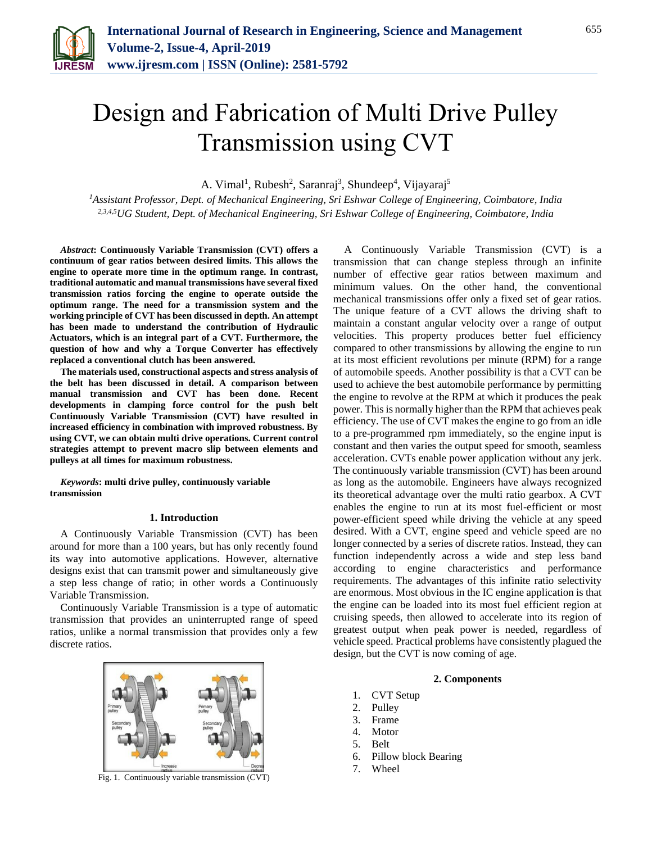

# Design and Fabrication of Multi Drive Pulley Transmission using CVT

A. Vimal<sup>1</sup>, Rubesh<sup>2</sup>, Saranraj<sup>3</sup>, Shundeep<sup>4</sup>, Vijayaraj<sup>5</sup>

*<sup>1</sup>Assistant Professor, Dept. of Mechanical Engineering, Sri Eshwar College of Engineering, Coimbatore, India 2,3,4,5UG Student, Dept. of Mechanical Engineering, Sri Eshwar College of Engineering, Coimbatore, India*

*Abstract***: Continuously Variable Transmission (CVT) offers a continuum of gear ratios between desired limits. This allows the engine to operate more time in the optimum range. In contrast, traditional automatic and manual transmissions have several fixed transmission ratios forcing the engine to operate outside the optimum range. The need for a transmission system and the working principle of CVT has been discussed in depth. An attempt has been made to understand the contribution of Hydraulic Actuators, which is an integral part of a CVT. Furthermore, the question of how and why a Torque Converter has effectively replaced a conventional clutch has been answered.**

**The materials used, constructional aspects and stress analysis of the belt has been discussed in detail. A comparison between manual transmission and CVT has been done. Recent developments in clamping force control for the push belt Continuously Variable Transmission (CVT) have resulted in increased efficiency in combination with improved robustness. By using CVT, we can obtain multi drive operations. Current control strategies attempt to prevent macro slip between elements and pulleys at all times for maximum robustness.**

*Keywords***: multi drive pulley, continuously variable transmission**

#### **1. Introduction**

A Continuously Variable Transmission (CVT) has been around for more than a 100 years, but has only recently found its way into automotive applications. However, alternative designs exist that can transmit power and simultaneously give a step less change of ratio; in other words a Continuously Variable Transmission.

Continuously Variable Transmission is a type of automatic transmission that provides an uninterrupted range of speed ratios, unlike a normal transmission that provides only a few discrete ratios.



Fig. 1. Continuously variable transmission (CVT)

A Continuously Variable Transmission (CVT) is a transmission that can change stepless through an infinite number of effective gear ratios between maximum and minimum values. On the other hand, the conventional mechanical transmissions offer only a fixed set of gear ratios. The unique feature of a CVT allows the driving shaft to maintain a constant angular velocity over a range of output velocities. This property produces better fuel efficiency compared to other transmissions by allowing the engine to run at its most efficient revolutions per minute (RPM) for a range of automobile speeds. Another possibility is that a CVT can be used to achieve the best automobile performance by permitting the engine to revolve at the RPM at which it produces the peak power. This is normally higher than the RPM that achieves peak efficiency. The use of CVT makes the engine to go from an idle to a pre-programmed rpm immediately, so the engine input is constant and then varies the output speed for smooth, seamless acceleration. CVTs enable power application without any jerk. The continuously variable transmission (CVT) has been around as long as the automobile. Engineers have always recognized its theoretical advantage over the multi ratio gearbox. A CVT enables the engine to run at its most fuel-efficient or most power-efficient speed while driving the vehicle at any speed desired. With a CVT, engine speed and vehicle speed are no longer connected by a series of discrete ratios. Instead, they can function independently across a wide and step less band according to engine characteristics and performance requirements. The advantages of this infinite ratio selectivity are enormous. Most obvious in the IC engine application is that the engine can be loaded into its most fuel efficient region at cruising speeds, then allowed to accelerate into its region of greatest output when peak power is needed, regardless of vehicle speed. Practical problems have consistently plagued the design, but the CVT is now coming of age.

# **2. Components**

- 1. CVT Setup
- 2. Pulley
- 3. Frame
- 4. Motor
- 5. Belt
- 6. Pillow block Bearing
- 7. Wheel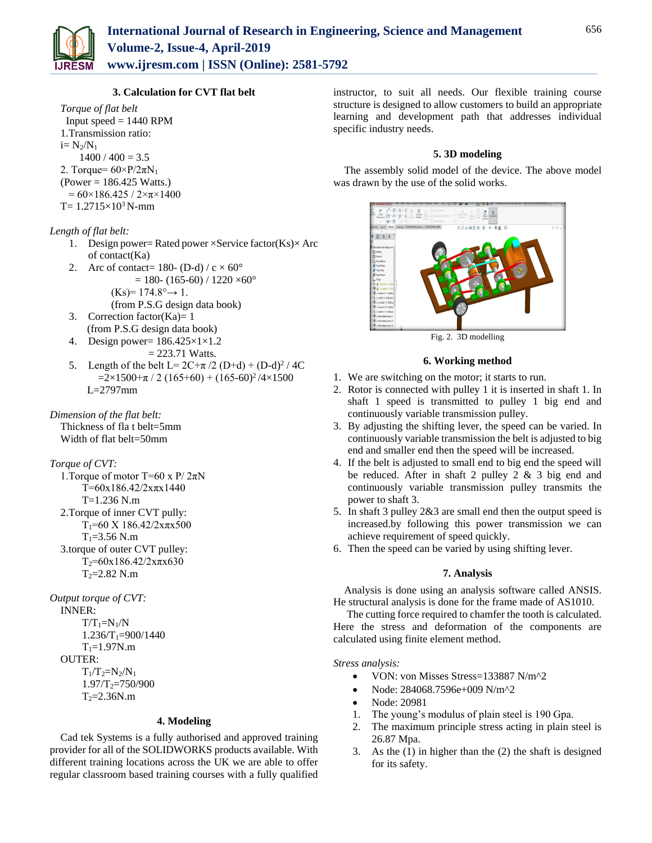

# **3. Calculation for CVT flat belt**

*Torque of flat belt* Input speed  $= 1440$  RPM 1.Transmission ratio:  $i=N_2/N_1$  $1400 / 400 = 3.5$ 2. Torque=  $60 \times P/2\pi N_1$  $(Power = 186.425 Watts.)$  $= 60 \times 186.425 / 2 \times \pi \times 1400$  $T= 1.2715\times10^{3}$  N-mm

# *Length of flat belt:*

- 1. Design power= Rated power  $\times$ Service factor(Ks) $\times$  Arc of contact(Ka)
- 2. Arc of contact=  $180-(D-d)/c \times 60^\circ$  $= 180 - (165-60) / 1220 \times 60^{\circ}$  $(Ks)= 174.8^\circ \rightarrow 1.$
- (from P.S.G design data book) 3. Correction factor(Ka)=  $1$
- (from P.S.G design data book)
- 4. Design power= 186.425×1×1.2  $= 223.71$  Watts.
- 5. Length of the belt L=  $2C+\pi/2$  (D+d) + (D-d)<sup>2</sup> / 4C  $=2\times1500+\pi/2(165+60)+(165-60)^2/4\times1500$ L=2797mm

*Dimension of the flat belt:*

Thickness of fla t belt=5mm Width of flat belt=50mm

# *Torque of CVT:*

1. Torque of motor T=60 x P/  $2\pi N$  $T=60x186.42/2x\pi x1440$ T=1.236 N.m 2.Torque of inner CVT pully:  $T_1$ =60 X 186.42/2x $\pi$ x500  $T_1 = 3.56$  N.m 3.torque of outer CVT pulley:  $T_2=60x186.42/2x\pi x630$  $T_2 = 2.82$  N.m

# *Output torque of CVT:*

INNER:  $T/T_1=N_1/N$  $1.236/T_1=900/1440$  $T_1 = 1.97N.m$ OUTER:

 $T_1/T_2=N_2/N_1$  $1.97/T_2=750/900$  $T_2 = 2.36$ N.m

#### **4. Modeling**

Cad tek Systems is a fully authorised and approved training provider for all of the SOLIDWORKS products available. With different training locations across the UK we are able to offer regular classroom based training courses with a fully qualified instructor, to suit all needs. Our flexible training course structure is designed to allow customers to build an appropriate learning and development path that addresses individual specific industry needs.

### **5. 3D modeling**

The assembly solid model of the device. The above model was drawn by the use of the solid works.



Fig. 2. 3D modelling

#### **6. Working method**

- 1. We are switching on the motor; it starts to run.
- 2. Rotor is connected with pulley 1 it is inserted in shaft 1. In shaft 1 speed is transmitted to pulley 1 big end and continuously variable transmission pulley.
- 3. By adjusting the shifting lever, the speed can be varied. In continuously variable transmission the belt is adjusted to big end and smaller end then the speed will be increased.
- 4. If the belt is adjusted to small end to big end the speed will be reduced. After in shaft 2 pulley  $2 \& 3$  big end and continuously variable transmission pulley transmits the power to shaft 3.
- 5. In shaft 3 pulley 2&3 are small end then the output speed is increased.by following this power transmission we can achieve requirement of speed quickly.
- 6. Then the speed can be varied by using shifting lever.

# **7. Analysis**

Analysis is done using an analysis software called ANSIS. He structural analysis is done for the frame made of AS1010.

The cutting force required to chamfer the tooth is calculated. Here the stress and deformation of the components are calculated using finite element method.

# *Stress analysis:*

- VON: von Misses Stress=133887 N/m<sup>2</sup>2
- Node: 284068.7596e+009 N/m^2
- Node: 20981
- 1. The young's modulus of plain steel is 190 Gpa.
- 2. The maximum principle stress acting in plain steel is 26.87 Mpa.
- 3. As the (1) in higher than the (2) the shaft is designed for its safety.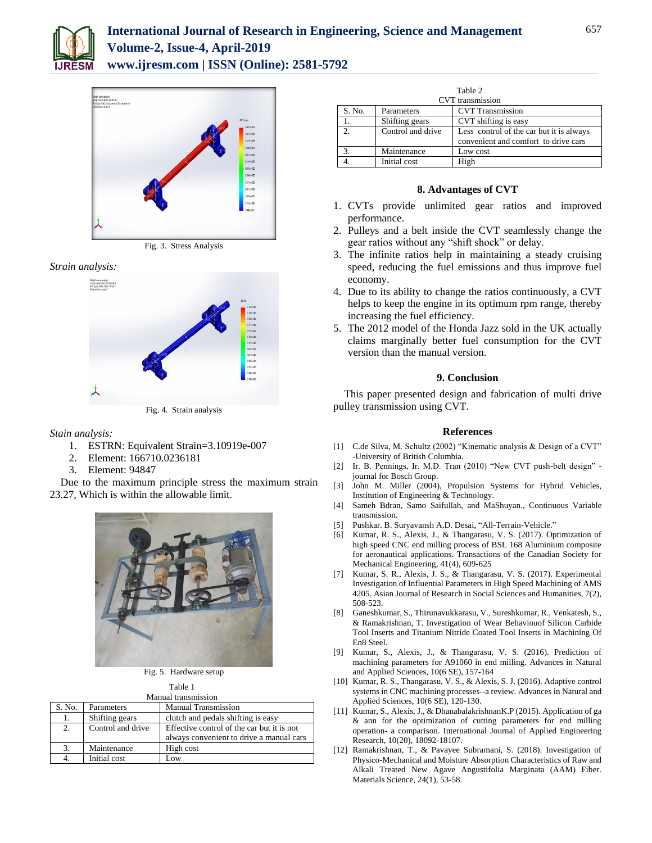



Fig. 3. Stress Analysis

#### *Strain analysis:*



Fig. 4. Strain analysis

*Stain analysis:*

- 1. ESTRN: Equivalent Strain=3.10919e-007
- 2. Element: 166710.0236181
- 3. Element: 94847

Due to the maximum principle stress the maximum strain 23.27, Which is within the allowable limit.



Fig. 5. Hardware setup

Table 1

| Manual transmission |                   |                                            |
|---------------------|-------------------|--------------------------------------------|
| S. No.              | Parameters        | <b>Manual Transmission</b>                 |
| 1.                  | Shifting gears    | clutch and pedals shifting is easy         |
| 2.                  | Control and drive | Effective control of the car but it is not |
|                     |                   | always convenient to drive a manual cars   |
| 3.                  | Maintenance       | High cost                                  |
|                     | Initial cost      | Low                                        |

| Table 2<br><b>CVT</b> transmission |                   |                                                                                  |  |
|------------------------------------|-------------------|----------------------------------------------------------------------------------|--|
| S. No.                             | Parameters        | <b>CVT</b> Transmission                                                          |  |
|                                    | Shifting gears    | CVT shifting is easy                                                             |  |
| 2.                                 | Control and drive | Less control of the car but it is always<br>convenient and comfort to drive cars |  |
|                                    | Maintenance       | Low cost                                                                         |  |
|                                    | Initial cost      | High                                                                             |  |

#### **8. Advantages of CVT**

- 1. CVTs provide unlimited gear ratios and improved performance.
- 2. Pulleys and a belt inside the CVT seamlessly change the gear ratios without any "shift shock" or delay.
- 3. The infinite ratios help in maintaining a steady cruising speed, reducing the fuel emissions and thus improve fuel economy.
- 4. Due to its ability to change the ratios continuously, a CVT helps to keep the engine in its optimum rpm range, thereby increasing the fuel efficiency.
- 5. The 2012 model of the Honda Jazz sold in the UK actually claims marginally better fuel consumption for the CVT version than the manual version.

#### **9. Conclusion**

This paper presented design and fabrication of multi drive pulley transmission using CVT.

#### **References**

- [1] C.de Silva, M. Schultz (2002) "Kinematic analysis & Design of a CVT" -University of British Columbia.
- [2] Ir. B. Pennings, Ir. M.D. Tran (2010) "New CVT push-belt design" journal for Bosch Group.
- [3] John M. Miller (2004), Propulsion Systems for Hybrid Vehicles, Institution of Engineering & Technology.
- [4] Sameh Bdran, Samo Saifullah, and MaShuyan., Continuous Variable transmission.
- [5] Pushkar. B. Suryavansh A.D. Desai, "All-Terrain-Vehicle."
- [6] Kumar, R. S., Alexis, J., & Thangarasu, V. S. (2017). Optimization of high speed CNC end milling process of BSL 168 Aluminium composite for aeronautical applications. Transactions of the Canadian Society for Mechanical Engineering, 41(4), 609-625
- [7] Kumar, S. R., Alexis, J. S., & Thangarasu, V. S. (2017). Experimental Investigation of Influential Parameters in High Speed Machining of AMS 4205. Asian Journal of Research in Social Sciences and Humanities, 7(2), 508-523.
- [8] Ganeshkumar, S., Thirunavukkarasu, V., Sureshkumar, R., Venkatesh, S., & Ramakrishnan, T. Investigation of Wear Behaviouof Silicon Carbide Tool Inserts and Titanium Nitride Coated Tool Inserts in Machining Of En8 Steel.
- [9] Kumar, S., Alexis, J., & Thangarasu, V. S. (2016). Prediction of machining parameters for A91060 in end milling. Advances in Natural and Applied Sciences, 10(6 SE), 157-164
- [10] Kumar, R. S., Thangarasu, V. S., & Alexis, S. J. (2016). Adaptive control systems in CNC machining processes--a review. Advances in Natural and Applied Sciences, 10(6 SE), 120-130.
- [11] Kumar, S., Alexis, J., & DhanabalakrishnanK.P (2015). Application of ga & ann for the optimization of cutting parameters for end milling operation- a comparison. International Journal of Applied Engineering Research, 10(20), 18092-18107.
- [12] Ramakrishnan, T., & Pavayee Subramani, S. (2018). Investigation of Physico-Mechanical and Moisture Absorption Characteristics of Raw and Alkali Treated New Agave Angustifolia Marginata (AAM) Fiber. Materials Science, 24(1), 53-58.